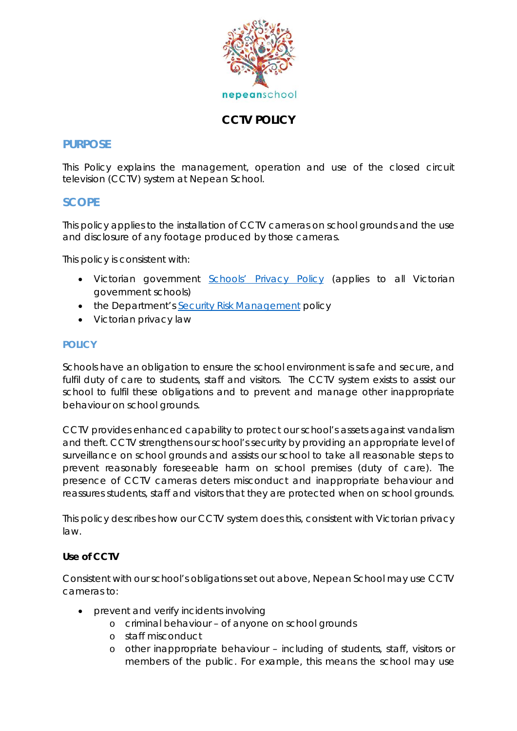

# **CCTV POLICY**

## **PURPOSE**

This Policy explains the management, operation and use of the closed circuit television (CCTV) system at Nepean School.

## **SCOPE**

This policy applies to the installation of CCTV cameras on school grounds and the use and disclosure of any footage produced by those cameras.

This policy is consistent with:

- Victorian government [Schools' Privacy Policy](https://www.education.vic.gov.au/Pages/schoolsprivacypolicy.aspx) (applies to all Victorian government schools)
- the Department's [Security Risk Management](https://www.education.vic.gov.au/school/principals/spag/management/pages/security.aspx) policy
- Victorian privacy law

## **POLICY**

Schools have an obligation to ensure the school environment is safe and secure, and fulfil duty of care to students, staff and visitors. The CCTV system exists to assist our school to fulfil these obligations and to prevent and manage other inappropriate behaviour on school grounds.

CCTV provides enhanced capability to protect our school's assets against vandalism and theft. CCTV strengthens our school's security by providing an appropriate level of surveillance on school grounds and assists our school to take all reasonable steps to prevent reasonably foreseeable harm on school premises (duty of care). The presence of CCTV cameras deters misconduct and inappropriate behaviour and reassures students, staff and visitors that they are protected when on school grounds.

This policy describes how our CCTV system does this, consistent with Victorian privacy law.

## **Use of CCTV**

Consistent with our school's obligations set out above, Nepean School may use CCTV cameras to:

- prevent and verify incidents involving
	- o criminal behaviour of anyone on school grounds
	- o staff misconduct
	- o other inappropriate behaviour including of students, staff, visitors or members of the public. For example, this means the school may use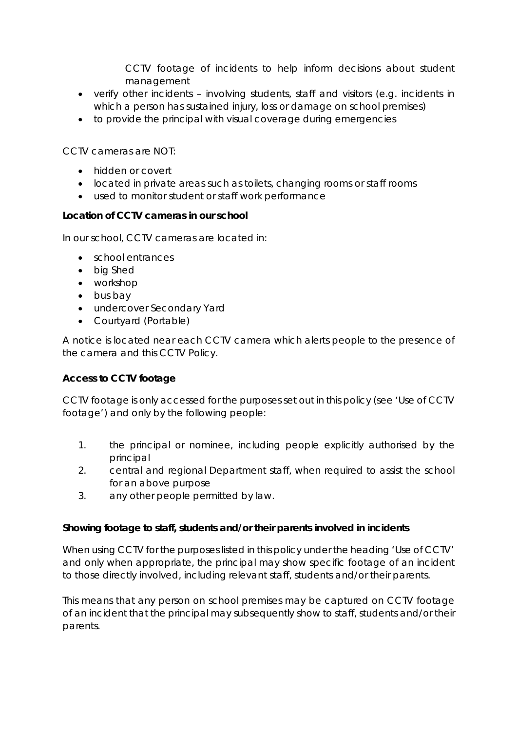CCTV footage of incidents to help inform decisions about student management

- verify other incidents involving students, staff and visitors (e.g. incidents in which a person has sustained injury, loss or damage on school premises)
- to provide the principal with visual coverage during emergencies

CCTV cameras are NOT:

- hidden or covert
- located in private areas such as toilets, changing rooms or staff rooms
- used to monitor student or staff work performance

## **Location of CCTV cameras in our school**

In our school, CCTV cameras are located in:

- school entrances
- big Shed
- workshop
- bus bay
- undercover Secondary Yard
- Courtyard (Portable)

A notice is located near each CCTV camera which alerts people to the presence of the camera and this CCTV Policy.

## **Access to CCTV footage**

CCTV footage is only accessed for the purposes set out in this policy (see 'Use of CCTV footage') and only by the following people:

- 1. the principal or nominee, including people explicitly authorised by the principal
- 2. central and regional Department staff, when required to assist the school for an above purpose
- 3. any other people permitted by law.

## **Showing footage to staff, students and/or their parents involved in incidents**

When using CCTV for the purposes listed in this policy under the heading 'Use of CCTV' and only when appropriate, the principal may show specific footage of an incident to those directly involved, including relevant staff, students and/or their parents.

This means that any person on school premises may be captured on CCTV footage of an incident that the principal may subsequently show to staff, students and/or their parents.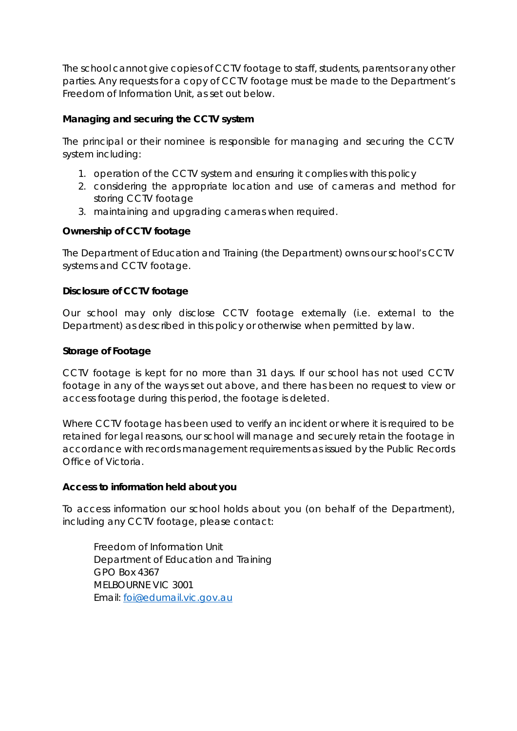The school cannot give copies of CCTV footage to staff, students, parents or any other parties. Any requests for a copy of CCTV footage must be made to the Department's Freedom of Information Unit, as set out below.

## **Managing and securing the CCTV system**

The principal or their nominee is responsible for managing and securing the CCTV system including:

- 1. operation of the CCTV system and ensuring it complies with this policy
- 2. considering the appropriate location and use of cameras and method for storing CCTV footage
- 3. maintaining and upgrading cameras when required.

## **Ownership of CCTV footage**

The Department of Education and Training (the Department) owns our school's CCTV systems and CCTV footage.

## **Disclosure of CCTV footage**

Our school may only disclose CCTV footage externally (i.e. external to the Department) as described in this policy or otherwise when permitted by law.

## **Storage of Footage**

CCTV footage is kept for no more than 31 days. If our school has not used CCTV footage in any of the ways set out above, and there has been no request to view or access footage during this period, the footage is deleted.

Where CCTV footage has been used to verify an incident or where it is required to be retained for legal reasons, our school will manage and securely retain the footage in accordance with records management requirements as issued by the Public Records Office of Victoria.

## **Access to information held about you**

To access information our school holds about you (on behalf of the Department), including any CCTV footage, please contact:

Freedom of Information Unit Department of Education and Training GPO Box 4367 MELBOURNE VIC 3001 Email: [foi@edumail.vic.gov.au](mailto:foi@edumail.vic.gov.au)